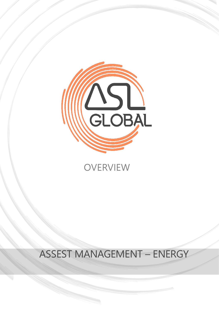

## **OVERVIEW**

# ASSEST MANAGEMENT – ENERGY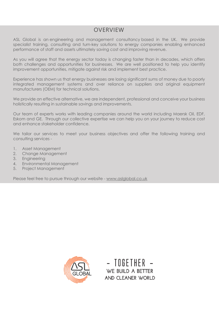### **OVERVIEW**

ASL Global is an engineering and management consultancy based in the UK. We provide specialist training, consulting and turn-key solutions to energy companies enabling enhanced performance of staff and assets ultimately saving cost and improving revenue.

As you will agree that the energy sector today is changing faster than in decades, which offers both challenges and opportunities for businesses. We are well positioned to help you identify improvement opportunities, mitigate against risk and implement best practice.

Experience has shown us that energy businesses are losing significant sums of money due to poorly integrated management systems and over reliance on suppliers and original equipment manufacturers (OEM) for technical solutions.

We provide an effective alternative, we are independent, professional and conceive your business holistically resulting in sustainable savings and improvements.

Our team of experts works with leading companies around the world including Maersk Oil, EDF, Eskom and GE. Through our collective expertise we can help you on your journey to reduce cost and enhance stakeholder confidence.

We tailor our services to meet your business objectives and offer the following training and consulting services -

- 1. [Asset Management](https://www.aslglobal.co.uk/consulting/asset-management/)
- 2. Change Management
- 3. Engineering
- 4. [Environmental Management](https://www.aslglobal.co.uk/consulting/environmental-management/)
- 5. [Project Management](https://www.aslglobal.co.uk/consulting/project-management/)

Please feel free to pursue through our website - [www.aslglobal.co.uk](http://www.aslglobal.co.uk/)



- TOGETHER WE BUILD A BETTER **AND CLEANER WORLD**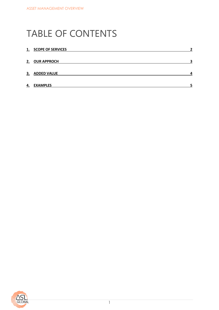## TABLE OF CONTENTS

| 1. | <b>SCOPE OF SERVICES</b> | 7 |
|----|--------------------------|---|
|    | 2. OUR APPROCH           | З |
| 3. | <b>ADDED VALUE</b>       | 4 |
| 4. | <b>EXAMPLES</b>          | 5 |

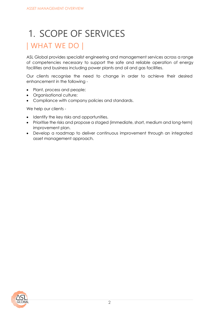## <span id="page-3-0"></span>1. SCOPE OF SERVICES | WHAT WE DO |

ASL Global provides specialist engineering and management services across a range of competencies necessary to support the safe and reliable operation of energy facilities and business including power plants and oil and gas facilities.

Our clients recognise the need to change in order to achieve their desired enhancement in the following -

- Plant, process and people;
- Organisational culture;
- Compliance with company policies and standards.

We help our clients -

- Identify the key risks and opportunities.
- Prioritise the risks and propose a staged (immediate, short, medium and long-term) improvement plan.
- <span id="page-3-1"></span>• Develop a roadmap to deliver continuous improvement through an integrated asset management approach.

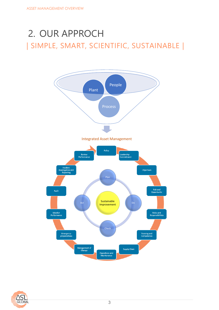## 2. OUR APPROCH | SIMPLE, SMART, SCIENTIFIC, SUSTAINABLE |



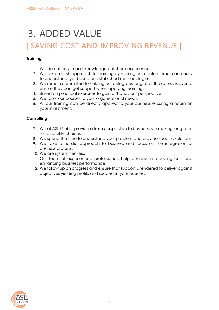## <span id="page-5-0"></span>3. ADDED VALUE | SAVING COST AND IMPROVING REVENUE |

#### **Training**

- 1. We do not only impart knowledge but share experience.
- 2. We take a fresh approach to learning by making our content simple and easy to understand, yet based on established methodologies.
- 3. We remain committed to helping our delegates long after the course is over to ensure they can get support when applying learning.
- 4. Based on practical exercises to gain a 'hands-on' perspective.
- 5. We tailor our courses to your organisational needs.
- 6. All our training can be directly applied to your business ensuring a return on your investment.

#### **Consulting**

- 7. We at ASL Global provide a fresh perspective to businesses in making long-term sustainability choices.
- 8. We spend the time to understand your problem and provide specific solutions.
- 9. We take a holistic approach to business and focus on the integration of business process.
- 10. We are system thinkers.
- 11. Our team of experienced professionals help business in reducing cost and enhancing business performance.
- 12. We follow up on progress and ensure that support is rendered to deliver against objectives yielding profits and success in your business.

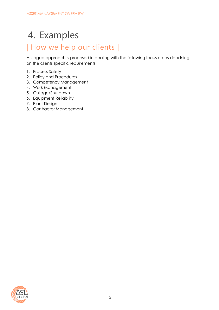# <span id="page-6-0"></span>4. Examples

## | How we help our clients |

A staged approach is proposed in dealing with the following focus areas depdning on the clients specific requirements:

- 1. Process Safety
- 2. Policy and Procedures
- 3. Competency Management
- 4. Work Management
- 5. Outage/Shutdown
- 6. Equipment Reliability
- 7. Plant Design
- 8. Contractor Management

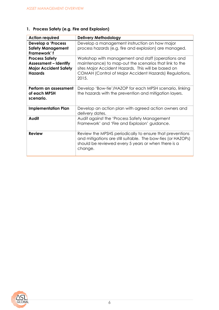| <b>Action required</b>                                                                                  | <b>Delivery Methodology</b>                                                                                                                                                                                                            |
|---------------------------------------------------------------------------------------------------------|----------------------------------------------------------------------------------------------------------------------------------------------------------------------------------------------------------------------------------------|
| Develop a 'Process<br><b>Safety Management</b><br>Framework' f                                          | Develop a management instruction on how major<br>process hazards (e.g. fire and explosion) are managed.                                                                                                                                |
| <b>Process Safety</b><br><b>Assessment - Identify</b><br><b>Major Accident Safety</b><br><b>Hazards</b> | Workshop with management and staff (operations and<br>maintenance) to map-out the scenarios that link to the<br>sites Major Accident Hazards. This will be based on<br>COMAH (Control of Major Accident Hazards) Regulations,<br>2015. |
| Perform an assessment<br>of each MPSH<br>scenario.                                                      | Develop 'Bow-tie'/HAZOP for each MPSH scenario, linking<br>the hazards with the prevention and mitigation layers.                                                                                                                      |
| <b>Implementation Plan</b>                                                                              | Develop an action plan with agreed action owners and<br>delivery dates.                                                                                                                                                                |
| <b>Audit</b>                                                                                            | Audit against the 'Process Safety Management<br>Framework' and 'Fire and Explosion' guidance.                                                                                                                                          |
| <b>Review</b>                                                                                           | Review the MPSHS periodically to ensure that preventions<br>and mitigations are still suitable. The bow-ties (or HAZOPs)<br>should be reviewed every 5 years or when there is a<br>change.                                             |

### **1. Process Safety (e.g. Fire and Explosion)**

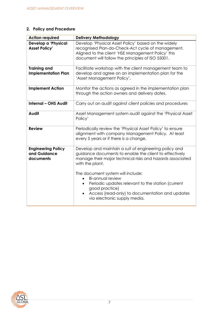### **2. Policy and Procedure**

| <b>Action required</b>                                 | <b>Delivery Methodology</b>                                                                                                                                                                                                                                                                                                                                                                                                                         |
|--------------------------------------------------------|-----------------------------------------------------------------------------------------------------------------------------------------------------------------------------------------------------------------------------------------------------------------------------------------------------------------------------------------------------------------------------------------------------------------------------------------------------|
| Develop a 'Physical<br><b>Asset Policy'</b>            | Develop 'Physical Asset Policy' based on the widely<br>recognised Plan-do-Check-Act cycle of management.<br>Aligned to the client 'HSE Management Policy' this<br>document will follow the principles of ISO 55001.                                                                                                                                                                                                                                 |
| <b>Training and</b><br><b>Implementation Plan</b>      | Facilitate workshop with the client management team to<br>develop and agree on an implementation plan for the<br>'Asset Management Policy'.                                                                                                                                                                                                                                                                                                         |
| <b>Implement Action</b>                                | Monitor the actions as agreed in the implementation plan<br>through the action owners and delivery dates.                                                                                                                                                                                                                                                                                                                                           |
| <b>Internal - OHS Audit</b>                            | Carry out an audit against client policies and procedures                                                                                                                                                                                                                                                                                                                                                                                           |
| Audit                                                  | Asset Management system audit against the 'Physical Asset<br>Policy'                                                                                                                                                                                                                                                                                                                                                                                |
| <b>Review</b>                                          | Periodically review the 'Physical Asset Policy' to ensure<br>alignment with company Management Policy. At least<br>every 5 years or if there is a change.                                                                                                                                                                                                                                                                                           |
| <b>Engineering Policy</b><br>and Guidance<br>documents | Develop and maintain a suit of engineering policy and<br>guidance documents to enable the client to effectively<br>manage their major technical risks and hazards associated<br>with the plant.<br>The document system will include:<br><b>Bi-annual review</b><br>Periodic updates relevant to the station (current<br>$\bullet$<br>good practice)<br>Access (read-only) to documentation and updates<br>$\bullet$<br>via electronic supply media. |

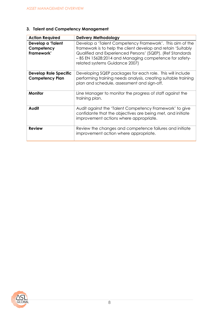### **3. Talent and Competency Management**

| <b>Action Required</b>                                 | <b>Delivery Methodology</b>                                                                                                                                                                                                                                                       |
|--------------------------------------------------------|-----------------------------------------------------------------------------------------------------------------------------------------------------------------------------------------------------------------------------------------------------------------------------------|
| Develop a 'Talent<br>Competency<br>Framework'          | Develop a 'Talent Competency Framework'. This aim of the<br>framework is to help the client develop and retain 'Suitably<br>Qualified and Experienced Persons' (SQEP). (Ref Standards<br>- BS EN 15628:2014 and Managing competence for safety-<br>related systems Guidance 2007) |
| <b>Develop Role Specific</b><br><b>Competency Plan</b> | Developing SQEP packages for each role. This will include<br>performing training needs analysis, creating suitable training<br>plan and schedule, assessment and sign-off.                                                                                                        |
| <b>Monitor</b>                                         | Line Manager to monitor the progress of staff against the<br>training plan.                                                                                                                                                                                                       |
| Audit                                                  | Audit against the 'Talent Competency Framework' to give<br>confidante that the objectives are being met, and initiate<br>improvement actions where appropriate.                                                                                                                   |
| <b>Review</b>                                          | Review the changes and competence failures and initiate<br>improvement action where appropriate.                                                                                                                                                                                  |

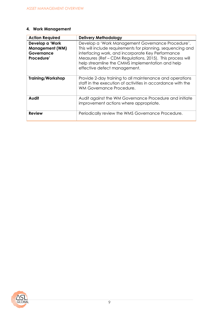### **4. Work Management**

| <b>Action Required</b>                                                | <b>Delivery Methodology</b>                                                                                                                                                                                                                                                                                            |
|-----------------------------------------------------------------------|------------------------------------------------------------------------------------------------------------------------------------------------------------------------------------------------------------------------------------------------------------------------------------------------------------------------|
| Develop a 'Work<br><b>Management (WM)</b><br>Governance<br>Procedure' | Develop a 'Work Management Governance Procedure'.<br>This will include requirements for planning, sequencing and<br>interfacing work, and incorporate Key Performance<br>Measures (Ref - CDM Regulations, 2015). This process will<br>help streamline the CMMS implementation and help<br>effective defect management. |
| <b>Training/Workshop</b>                                              | Provide 2-day training to all maintenance and operations<br>staff in the execution of activities in accordance with the<br>WM Governance Procedure.                                                                                                                                                                    |
| Audit                                                                 | Audit against the WM Governance Procedure and initiate<br>improvement actions where appropriate.                                                                                                                                                                                                                       |
| <b>Review</b>                                                         | Periodically review the WMS Governance Procedure.                                                                                                                                                                                                                                                                      |

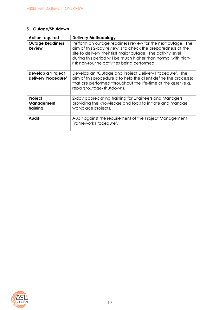### **5. Outage/Shutdown**

| <b>Action required</b>                           | <b>Delivery Methodology</b>                                                                                                                                                                                                                                                                                   |
|--------------------------------------------------|---------------------------------------------------------------------------------------------------------------------------------------------------------------------------------------------------------------------------------------------------------------------------------------------------------------|
| <b>Outage Readiness</b><br><b>Review</b>         | Perform an outage readiness review for the next outage. The<br>aim of this 2-day review is to check the preparedness of the<br>site to delivery their first major outage. The activity level<br>during this period will be much higher than normal with high-<br>risk non-routine activities being performed. |
| Develop a 'Project<br><b>Delivery Procedure'</b> | Develop an 'Outage and Project Delivery Procedure'. The<br>aim of this procedure is to help the client define the processes<br>that are performed throughout the life-time of the asset (e.g.<br>repairs/outage/shutdown).                                                                                    |
| Project<br>Management<br>training                | 2-day appreciating training for Engineers and Managers<br>providing the knowledge and tools to initiate and manage<br>workplace projects.                                                                                                                                                                     |
| Audit                                            | Audit against the requirement of the Project Management<br>Framework Procedure'.                                                                                                                                                                                                                              |

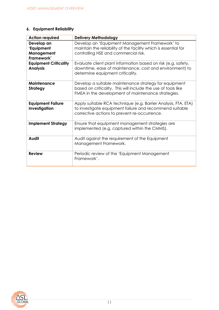### **6. Equipment Reliability**

| <b>Action required</b>                               | <b>Delivery Methodology</b>                                                                                                                                                  |
|------------------------------------------------------|------------------------------------------------------------------------------------------------------------------------------------------------------------------------------|
| Develop an<br>'Equipment<br>Management<br>Framework' | Develop an 'Equipment Management Framework' to<br>maintain the reliability of the facility which is essential for<br>controlling HSE and commercial risk.                    |
| <b>Equipment Criticality</b><br><b>Analysis</b>      | Evaluate client plant information based on risk (e.g. safety,<br>downtime, ease of maintenance, cost and environment) to<br>determine equipment criticality.                 |
| <b>Maintenance</b><br><b>Strategy</b>                | Develop a suitable maintenance strategy for equipment<br>based on criticality. This will include the use of tools like<br>FMEA in the development of maintenance strategies. |
| <b>Equipment Failure</b><br>Investigation            | Apply suitable RCA technique (e.g. Barrier Analysis, FTA, ETA)<br>to investigate equipment failure and recommend suitable<br>corrective actions to prevent re-occurrence.    |
| <b>Implement Strategy</b>                            | Ensure that equipment management strategies are<br>implemented (e.g. captured within the CMMS).                                                                              |
| Audit                                                | Audit against the requirement of the Equipment<br>Management Framework.                                                                                                      |
| <b>Review</b>                                        | Periodic review of the 'Equipment Management<br>Framework'.                                                                                                                  |

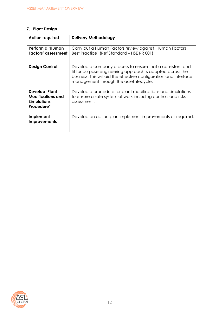### **7. Plant Design**

| <b>Action required</b>                                                                | <b>Delivery Methodology</b>                                                                                                                                                                                                             |
|---------------------------------------------------------------------------------------|-----------------------------------------------------------------------------------------------------------------------------------------------------------------------------------------------------------------------------------------|
| Perform a 'Human<br><b>Factors' assessment</b>                                        | Carry out a Human Factors review against 'Human Factors<br>Best Practice' (Ref Standard - HSE RR 001)                                                                                                                                   |
| <b>Design Control</b>                                                                 | Develop a company process to ensure that a consistent and<br>fit for purpose engineering approach is adopted across the<br>business. This will aid the effective configuration and interface<br>management through the asset lifecycle. |
| <b>Develop 'Plant</b><br><b>Modifications and</b><br><b>Simulations</b><br>Procedure' | Develop a procedure for plant modifications and simulations<br>to ensure a safe system of work including controls and risks<br>assessment.                                                                                              |
| Implement<br><b>Improvements</b>                                                      | Develop an action plan implement improvements as required.                                                                                                                                                                              |

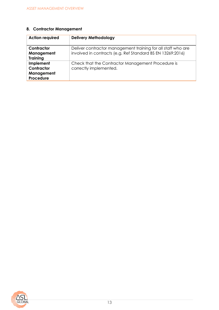### **8. Contractor Management**

| <b>Action required</b>                             | <b>Delivery Methodology</b>                                                                                                |
|----------------------------------------------------|----------------------------------------------------------------------------------------------------------------------------|
| Contractor<br>Management<br><b>Training</b>        | Deliver contractor management training for all staff who are<br>involved in contracts (e.g. Ref Standard BS EN 13269:2016) |
| Implement<br>Contractor<br>Management<br>Procedure | Check that the Contractor Management Procedure is<br>correctly implemented.                                                |